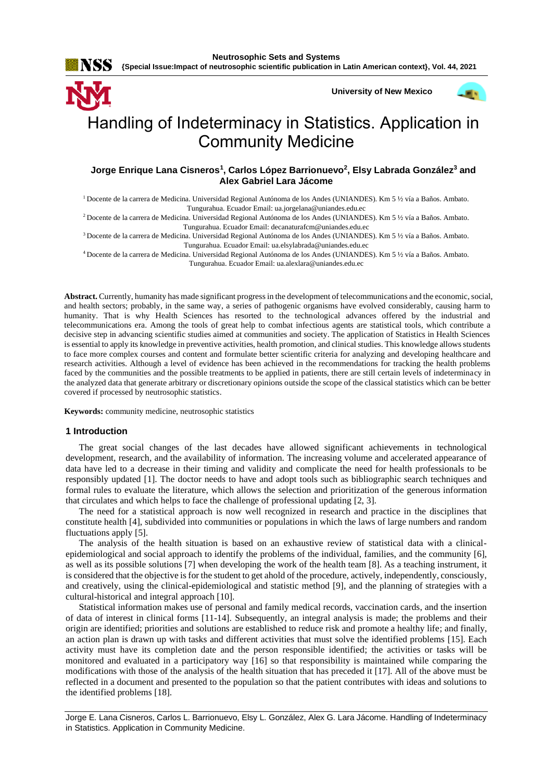

**University of New Mexico**



# Handling of Indeterminacy in Statistics. Application in Community Medicine

## **Jorge Enrique Lana Cisneros<sup>1</sup> , Carlos López Barrionuevo<sup>2</sup> , Elsy Labrada González<sup>3</sup> and Alex Gabriel Lara Jácome**

<sup>1</sup>Docente de la carrera de Medicina. Universidad Regional Autónoma de los Andes (UNIANDES). Km 5 ½ vía a Baños. Ambato. Tungurahua. Ecuador Email[: ua.jorgelana@uniandes.edu.ec](mailto:ua.jorgelana@uniandes.edu.ec)

<sup>2</sup>Docente de la carrera de Medicina. Universidad Regional Autónoma de los Andes (UNIANDES). Km 5 ½ vía a Baños. Ambato. Tungurahua. Ecuador Email[: decanaturafcm@uniandes.edu.ec](mailto:decanaturafcm@uniandes.edu.ec)

<sup>3</sup>Docente de la carrera de Medicina. Universidad Regional Autónoma de los Andes (UNIANDES). Km 5 ½ vía a Baños. Ambato. Tungurahua. Ecuador Email: [ua.elsylabrada@uniandes.edu.ec](mailto:ua.elsylabrada@uniandes.edu.ec)

<sup>4</sup>Docente de la carrera de Medicina. Universidad Regional Autónoma de los Andes (UNIANDES). Km 5 ½ vía a Baños. Ambato. Tungurahua. Ecuador Email[: ua.alexlara@uniandes.edu.ec](mailto:ua.alexlara@uniandes.edu.ec)

**Abstract.** Currently, humanity has made significant progress in the development of telecommunications and the economic, social, and health sectors; probably, in the same way, a series of pathogenic organisms have evolved considerably, causing harm to humanity. That is why Health Sciences has resorted to the technological advances offered by the industrial and telecommunications era. Among the tools of great help to combat infectious agents are statistical tools, which contribute a decisive step in advancing scientific studies aimed at communities and society. The application of Statistics in Health Sciences is essential to apply its knowledge in preventive activities, health promotion, and clinical studies. This knowledge allows students to face more complex courses and content and formulate better scientific criteria for analyzing and developing healthcare and research activities. Although a level of evidence has been achieved in the recommendations for tracking the health problems faced by the communities and the possible treatments to be applied in patients, there are still certain levels of indeterminacy in the analyzed data that generate arbitrary or discretionary opinions outside the scope of the classical statistics which can be better covered if processed by neutrosophic statistics.

**Keywords:** community medicine, neutrosophic statistics

#### **1 Introduction**

The great social changes of the last decades have allowed significant achievements in technological development, research, and the availability of information. The increasing volume and accelerated appearance of data have led to a decrease in their timing and validity and complicate the need for health professionals to be responsibly updated [\[1\]](#page-7-0). The doctor needs to have and adopt tools such as bibliographic search techniques and formal rules to evaluate the literature, which allows the selection and prioritization of the generous information that circulates and which helps to face the challenge of professional updating [\[2,](#page-7-1) [3\]](#page-7-2).

The need for a statistical approach is now well recognized in research and practice in the disciplines that constitute health [\[4\]](#page-7-3), subdivided into communities or populations in which the laws of large numbers and random fluctuations apply [\[5\]](#page-7-4).

The analysis of the health situation is based on an exhaustive review of statistical data with a clinicalepidemiological and social approach to identify the problems of the individual, families, and the community [\[6\]](#page-7-5), as well as its possible solutions [\[7\]](#page-7-6) when developing the work of the health team [\[8\]](#page-7-7). As a teaching instrument, it is considered that the objective is for the student to get ahold of the procedure, actively, independently, consciously, and creatively, using the clinical-epidemiological and statistic method [\[9\]](#page-7-8), and the planning of strategies with a cultural-historical and integral approach [\[10\]](#page-7-9).

Statistical information makes use of personal and family medical records, vaccination cards, and the insertion of data of interest in clinical forms [\[11-14\]](#page-7-10). Subsequently, an integral analysis is made; the problems and their origin are identified; priorities and solutions are established to reduce risk and promote a healthy life; and finally, an action plan is drawn up with tasks and different activities that must solve the identified problems [\[15\]](#page-7-11). Each activity must have its completion date and the person responsible identified; the activities or tasks will be monitored and evaluated in a participatory way [\[16\]](#page-7-12) so that responsibility is maintained while comparing the modifications with those of the analysis of the health situation that has preceded it [\[17\]](#page-7-13). All of the above must be reflected in a document and presented to the population so that the patient contributes with ideas and solutions to the identified problems [\[18\]](#page-7-14).

Jorge E. Lana Cisneros, Carlos L. Barrionuevo, Elsy L. González, Alex G. Lara Jácome. Handling of Indeterminacy in Statistics. Application in Community Medicine.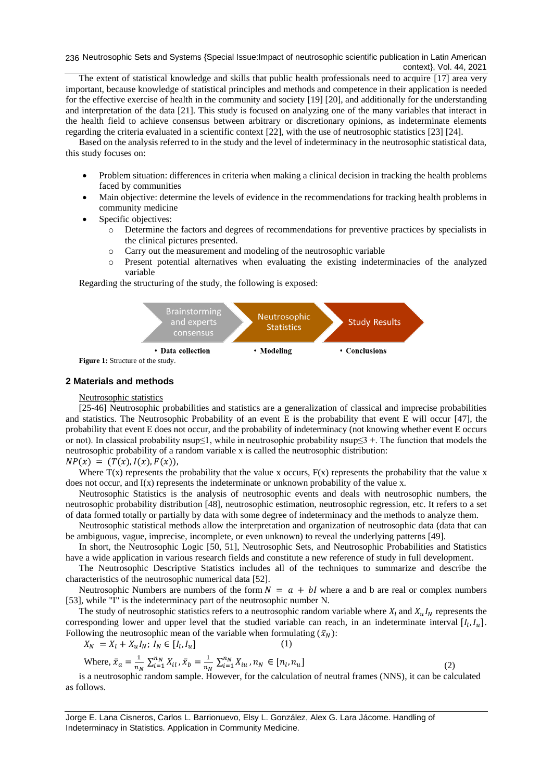236 Neutrosophic Sets and Systems {Special Issue:Impact of neutrosophic scientific publication in Latin American context}, Vol. 44, 2021

The extent of statistical knowledge and skills that public health professionals need to acquire [\[17\]](#page-7-13) area very important, because knowledge of statistical principles and methods and competence in their application is needed for the effective exercise of health in the community and society [\[19\]](#page-7-15) [\[20\]](#page-7-16), and additionally for the understanding and interpretation of the data [\[21\]](#page-7-17). This study is focused on analyzing one of the many variables that interact in the health field to achieve consensus between arbitrary or discretionary opinions, as indeterminate elements regarding the criteria evaluated in a scientific context [\[22\]](#page-7-18), with the use of neutrosophic statistics [\[23\]](#page-7-19) [\[24\]](#page-8-0).

Based on the analysis referred to in the study and the level of indeterminacy in the neutrosophic statistical data, this study focuses on:

- Problem situation: differences in criteria when making a clinical decision in tracking the health problems faced by communities
- Main objective: determine the levels of evidence in the recommendations for tracking health problems in community medicine
- Specific objectives:
	- o Determine the factors and degrees of recommendations for preventive practices by specialists in the clinical pictures presented.
	- o Carry out the measurement and modeling of the neutrosophic variable
	- o Present potential alternatives when evaluating the existing indeterminacies of the analyzed variable

Regarding the structuring of the study, the following is exposed:



**Figure 1:** Structure of the study.

#### **2 Materials and methods**

#### Neutrosophic statistics

[\[25-46\]](#page-8-1) Neutrosophic probabilities and statistics are a generalization of classical and imprecise probabilities and statistics. The Neutrosophic Probability of an event E is the probability that event E will occur [\[47\]](#page-8-2), the probability that event E does not occur, and the probability of indeterminacy (not knowing whether event E occurs or not). In classical probability nsup≤1, while in neutrosophic probability nsup≤3 +. The function that models the neutrosophic probability of a random variable x is called the neutrosophic distribution:

## $NP(x) = (T(x), I(x), F(x)).$

Where  $T(x)$  represents the probability that the value x occurs,  $F(x)$  represents the probability that the value x does not occur, and  $I(x)$  represents the indeterminate or unknown probability of the value x.

Neutrosophic Statistics is the analysis of neutrosophic events and deals with neutrosophic numbers, the neutrosophic probability distribution [\[48\]](#page-8-3), neutrosophic estimation, neutrosophic regression, etc. It refers to a set of data formed totally or partially by data with some degree of indeterminacy and the methods to analyze them.

Neutrosophic statistical methods allow the interpretation and organization of neutrosophic data (data that can be ambiguous, vague, imprecise, incomplete, or even unknown) to reveal the underlying patterns [\[49\]](#page-8-4).

In short, the Neutrosophic Logic [\[50,](#page-8-5) [51\]](#page-8-6), Neutrosophic Sets, and Neutrosophic Probabilities and Statistics have a wide application in various research fields and constitute a new reference of study in full development.

The Neutrosophic Descriptive Statistics includes all of the techniques to summarize and describe the characteristics of the neutrosophic numerical data [\[52\]](#page-8-7).

Neutrosophic Numbers are numbers of the form  $N = a + bl$  where a and b are real or complex numbers [\[53\]](#page-9-0), while "I" is the indeterminacy part of the neutrosophic number N.

The study of neutrosophic statistics refers to a neutrosophic random variable where  $X_l$  and  $X_u I_N$  represents the corresponding lower and upper level that the studied variable can reach, in an indeterminate interval  $[I_l, I_u]$ . Following the neutrosophic mean of the variable when formulating  $(\bar{x}_N)$ :

$$
X_N = X_l + X_u I_N; I_N \in [I_l, I_u]
$$
 (1)

Where, 
$$
\bar{x}_a = \frac{1}{n_N} \sum_{i=1}^{n_N} X_{il}, \bar{x}_b = \frac{1}{n_N} \sum_{i=1}^{n_N} X_{iu}, n_N \in [n_l, n_u]
$$
 (2)

is a neutrosophic random sample. However, for the calculation of neutral frames (NNS), it can be calculated as follows.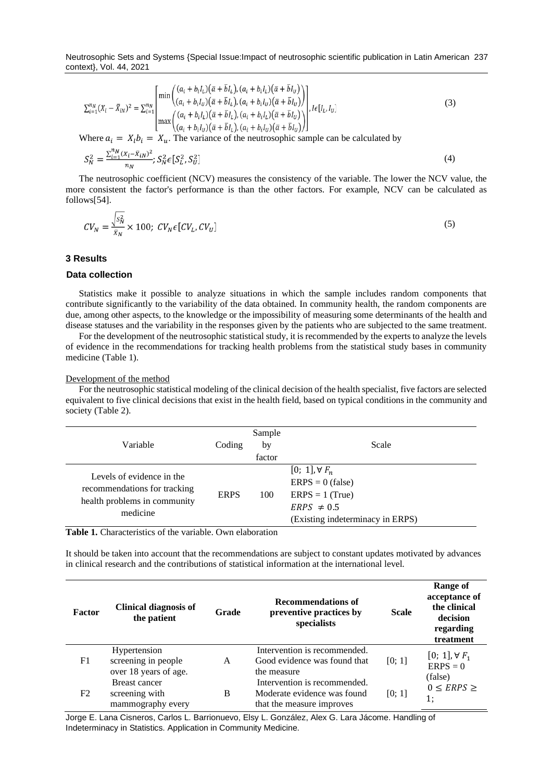Neutrosophic Sets and Systems {Special Issue:Impact of neutrosophic scientific publication in Latin American 237 context}, Vol. 44, 2021

$$
\sum_{i=1}^{n_N} (X_i - \bar{X}_{iN})^2 = \sum_{i=1}^{n_N} \begin{bmatrix} \min\left( (a_i + b_i I_L)(\bar{a} + \bar{b} I_L), (a_i + b_i I_L)(\bar{a} + \bar{b} I_U) \right) \\ (a_i + b_i I_U)(\bar{a} + \bar{b} I_L), (a_i + b_i I_U)(\bar{a} + \bar{b} I_U) \end{bmatrix}, I \in [I_L, I_U]
$$
\n
$$
\max\left( (a_i + b_i I_L)(\bar{a} + \bar{b} I_L), (a_i + b_i I_L)(\bar{a} + \bar{b} I_U) \right), I \in [I_L, I_U]
$$
\n
$$
\text{Where } a_i = X, b_i = X \text{ The variance of the neutrosophic sample can be calculated by}
$$
\n
$$
[A, B] = \sum_{i=1}^{n_N} \left( \sum_{i=1}^{n_N} \sum_{j=1}^{n_N} \bar{A}_{i,j} \right) \left( \sum_{i=1}^{n_N} \bar{A}_{i,j} \right) \left( \sum_{i=1}^{n_N} \bar{A}_{i,j} \right)
$$
\n
$$
[B] = \sum_{i=1}^{n_N} \left( \sum_{i=1}^{n_N} \sum_{j=1}^{n_N} \sum_{j=1}^{n_N} \bar{A}_{i,j} \right) \left( \sum_{i=1}^{n_N} \bar{A}_{i,j} \right) \left( \sum_{i=1}^{n_N} \bar{A}_{i,j} \right)
$$
\n
$$
(3)
$$

Where  $a_i = X_i b_i = X_u$ . The variance of the neutrosophic sample can be calculated by

$$
S_N^2 = \frac{\sum_{i=1}^{n} (X_i - \bar{X}_{iN})^2}{n_N}; S_N^2 \in [S_L^2, S_U^2]
$$
\n(4)

The neutrosophic coefficient (NCV) measures the consistency of the variable. The lower the NCV value, the more consistent the factor's performance is than the other factors. For example, NCV can be calculated as follows[\[54\]](#page-9-1).

$$
CV_N = \frac{\sqrt{s_N^2}}{\bar{x}_N} \times 100; \ CV_N \epsilon [CV_L, CV_U]
$$
\n
$$
(5)
$$

## **3 Results**

#### **Data collection**

Statistics make it possible to analyze situations in which the sample includes random components that contribute significantly to the variability of the data obtained. In community health, the random components are due, among other aspects, to the knowledge or the impossibility of measuring some determinants of the health and disease statuses and the variability in the responses given by the patients who are subjected to the same treatment.

For the development of the neutrosophic statistical study, it is recommended by the experts to analyze the levels of evidence in the recommendations for tracking health problems from the statistical study bases in community medicine (Table 1).

#### Development of the method

For the neutrosophic statistical modeling of the clinical decision of the health specialist, five factors are selected equivalent to five clinical decisions that exist in the health field, based on typical conditions in the community and society (Table 2).

| Variable                                                                                              | Coding      | Sample<br>by<br>factor | Scale                                                                                                                      |
|-------------------------------------------------------------------------------------------------------|-------------|------------------------|----------------------------------------------------------------------------------------------------------------------------|
| Levels of evidence in the<br>recommendations for tracking<br>health problems in community<br>medicine | <b>ERPS</b> | 100                    | $[0; 1]$ , $\forall F_n$<br>$ERPS = 0$ (false)<br>$ERPS = 1$ (True)<br>$ERPS \neq 0.5$<br>(Existing indeterminacy in ERPS) |

**Table 1.** Characteristics of the variable. Own elaboration

It should be taken into account that the recommendations are subject to constant updates motivated by advances in clinical research and the contributions of statistical information at the international level.

| Factor | <b>Clinical diagnosis of</b><br>the patient                  | Grade | <b>Recommendations of</b><br>preventive practices by<br>specialists                      | <b>Scale</b> | Range of<br>acceptance of<br>the clinical<br>decision<br>regarding<br>treatment |
|--------|--------------------------------------------------------------|-------|------------------------------------------------------------------------------------------|--------------|---------------------------------------------------------------------------------|
| F1     | Hypertension<br>screening in people<br>over 18 years of age. | A     | Intervention is recommended.<br>Good evidence was found that<br>the measure              | [0; 1]       | $[0; 1], \forall F_1$<br>$ERPS = 0$<br>(false)                                  |
| F2     | <b>Breast cancer</b><br>screening with<br>mammography every  | B     | Intervention is recommended.<br>Moderate evidence was found<br>that the measure improves | [0; 1]       | $0 \le ERPS \ge$<br>1:                                                          |

Jorge E. Lana Cisneros, Carlos L. Barrionuevo, Elsy L. González, Alex G. Lara Jácome. Handling of Indeterminacy in Statistics. Application in Community Medicine.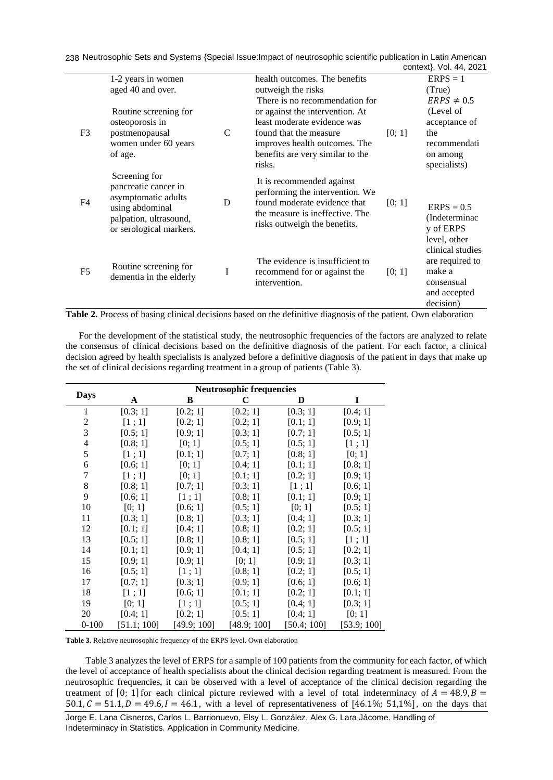Neutrosophic Sets and Systems {Special Issue:Impact of neutrosophic scientific publication in Latin American 238 context}, Vol. 44, 2021

|                |                                                                                                                                      |               |                                                                                                                                                                                                     |        | $U$ UIIICAI), VUI. 44, ZUZ I                                                             |
|----------------|--------------------------------------------------------------------------------------------------------------------------------------|---------------|-----------------------------------------------------------------------------------------------------------------------------------------------------------------------------------------------------|--------|------------------------------------------------------------------------------------------|
|                | 1-2 years in women                                                                                                                   |               | health outcomes. The benefits                                                                                                                                                                       |        | $ERPS = 1$                                                                               |
|                | aged 40 and over.                                                                                                                    |               | outweigh the risks                                                                                                                                                                                  |        | (True)                                                                                   |
|                |                                                                                                                                      |               | There is no recommendation for                                                                                                                                                                      |        | $ERPS \neq 0.5$                                                                          |
|                | Routine screening for                                                                                                                |               | or against the intervention. At                                                                                                                                                                     |        | (Level of                                                                                |
|                | osteoporosis in                                                                                                                      |               | least moderate evidence was                                                                                                                                                                         |        | acceptance of                                                                            |
| F <sub>3</sub> | postmenopausal                                                                                                                       | $\mathcal{C}$ | found that the measure                                                                                                                                                                              | [0; 1] | the                                                                                      |
|                | women under 60 years                                                                                                                 |               | improves health outcomes. The                                                                                                                                                                       |        | recommendati                                                                             |
|                | of age.                                                                                                                              |               | benefits are very similar to the                                                                                                                                                                    |        | on among                                                                                 |
|                |                                                                                                                                      |               | risks.                                                                                                                                                                                              |        | specialists)                                                                             |
| F <sub>4</sub> | Screening for<br>pancreatic cancer in<br>asymptomatic adults<br>using abdominal<br>palpation, ultrasound,<br>or serological markers. | D             | It is recommended against<br>performing the intervention. We<br>found moderate evidence that<br>the measure is ineffective. The<br>risks outweigh the benefits.                                     | [0; 1] | $ERPS = 0.5$<br>(Indeterminac)<br>y of ERPS<br>level, other                              |
| F <sub>5</sub> | Routine screening for<br>dementia in the elderly                                                                                     | $\mathbf I$   | The evidence is insufficient to<br>recommend for or against the<br>intervention.<br>Table 2. Process of basing clinical decisions based on the definitive diagnosis of the patient. Own elaboration | [0; 1] | clinical studies<br>are required to<br>make a<br>consensual<br>and accepted<br>decision) |

For the development of the statistical study, the neutrosophic frequencies of the factors are analyzed to relate the consensus of clinical decisions based on the definitive diagnosis of the patient. For each factor, a clinical decision agreed by health specialists is analyzed before a definitive diagnosis of the patient in days that make up the set of clinical decisions regarding treatment in a group of patients (Table 3).

|             | <b>Neutrosophic frequencies</b> |             |             |             |             |  |  |
|-------------|---------------------------------|-------------|-------------|-------------|-------------|--|--|
| <b>Days</b> | A                               | B           | $\mathbf C$ | D           | I           |  |  |
| 1           | [0.3; 1]                        | [0.2; 1]    | [0.2; 1]    | [0.3; 1]    | [0.4; 1]    |  |  |
| 2           | [1:1]                           | [0.2; 1]    | [0.2; 1]    | [0.1; 1]    | [0.9; 1]    |  |  |
| 3           | [0.5; 1]                        | [0.9; 1]    | [0.3; 1]    | [0.7; 1]    | [0.5; 1]    |  |  |
| 4           | [0.8; 1]                        | [0; 1]      | [0.5; 1]    | [0.5; 1]    | [1;1]       |  |  |
| 5           | [1;1]                           | [0.1; 1]    | [0.7; 1]    | [0.8; 1]    | [0; 1]      |  |  |
| 6           | [0.6; 1]                        | [0; 1]      | [0.4; 1]    | [0.1; 1]    | [0.8; 1]    |  |  |
| 7           | [1:1]                           | [0; 1]      | [0.1; 1]    | [0.2; 1]    | [0.9; 1]    |  |  |
| 8           | [0.8; 1]                        | [0.7; 1]    | [0.3; 1]    | [1;1]       | [0.6; 1]    |  |  |
| 9           | [0.6; 1]                        | [1:1]       | [0.8; 1]    | [0.1; 1]    | [0.9; 1]    |  |  |
| 10          | [0; 1]                          | [0.6; 1]    | [0.5; 1]    | [0; 1]      | [0.5; 1]    |  |  |
| 11          | [0.3; 1]                        | [0.8; 1]    | [0.3; 1]    | [0.4; 1]    | [0.3; 1]    |  |  |
| 12          | [0.1; 1]                        | [0.4; 1]    | [0.8; 1]    | [0.2; 1]    | [0.5; 1]    |  |  |
| 13          | [0.5; 1]                        | [0.8; 1]    | [0.8; 1]    | [0.5; 1]    | [1;1]       |  |  |
| 14          | [0.1; 1]                        | [0.9; 1]    | [0.4; 1]    | [0.5; 1]    | [0.2; 1]    |  |  |
| 15          | [0.9; 1]                        | [0.9; 1]    | [0; 1]      | [0.9; 1]    | [0.3; 1]    |  |  |
| 16          | [0.5; 1]                        | [1;1]       | [0.8; 1]    | [0.2; 1]    | [0.5; 1]    |  |  |
| 17          | [0.7; 1]                        | [0.3; 1]    | [0.9; 1]    | [0.6; 1]    | [0.6; 1]    |  |  |
| 18          | [1;1]                           | [0.6; 1]    | [0.1; 1]    | [0.2; 1]    | [0.1; 1]    |  |  |
| 19          | [0; 1]                          | [1;1]       | [0.5; 1]    | [0.4; 1]    | [0.3; 1]    |  |  |
| 20          | [0.4; 1]                        | [0.2; 1]    | [0.5; 1]    | [0.4; 1]    | [0; 1]      |  |  |
| $0 - 100$   | [51.1; 100]                     | [49.9; 100] | [48.9; 100] | [50.4; 100] | [53.9; 100] |  |  |

**Table 3.** Relative neutrosophic frequency of the ERPS level. Own elaboration

Table 3 analyzes the level of ERPS for a sample of 100 patients from the community for each factor, of which the level of acceptance of health specialists about the clinical decision regarding treatment is measured. From the neutrosophic frequencies, it can be observed with a level of acceptance of the clinical decision regarding the treatment of [0; 1] for each clinical picture reviewed with a level of total indeterminacy of  $A = 48.9$ ,  $B =$  $50.1, C = 51.1, D = 49.6, I = 46.1$ , with a level of representativeness of [46.1%; 51,1%], on the days that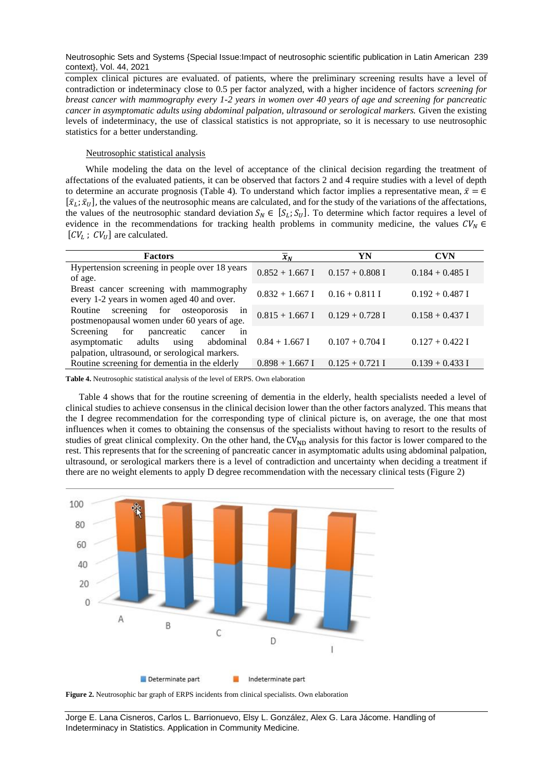Neutrosophic Sets and Systems {Special Issue:Impact of neutrosophic scientific publication in Latin American 239 context}, Vol. 44, 2021

complex clinical pictures are evaluated. of patients, where the preliminary screening results have a level of contradiction or indeterminacy close to 0.5 per factor analyzed, with a higher incidence of factors *screening for breast cancer with mammography every 1-2 years in women over 40 years of age and screening for pancreatic cancer in asymptomatic adults using abdominal palpation, ultrasound or serological markers.* Given the existing levels of indeterminacy, the use of classical statistics is not appropriate, so it is necessary to use neutrosophic statistics for a better understanding.

### Neutrosophic statistical analysis

While modeling the data on the level of acceptance of the clinical decision regarding the treatment of affectations of the evaluated patients, it can be observed that factors 2 and 4 require studies with a level of depth to determine an accurate prognosis (Table 4). To understand which factor implies a representative mean,  $\bar{x} = \epsilon$  $[\bar{x}_L; \bar{x}_U]$ , the values of the neutrosophic means are calculated, and for the study of the variations of the affectations, the values of the neutrosophic standard deviation  $S_N \in [S_L; S_U]$ . To determine which factor requires a level of evidence in the recommendations for tracking health problems in community medicine, the values  $CV_N \in$  $[CV_L; CV_U]$  are calculated.

| <b>Factors</b>                                                                                                                    | $\overline{x}_N$                    | YN                | <b>CVN</b>        |
|-----------------------------------------------------------------------------------------------------------------------------------|-------------------------------------|-------------------|-------------------|
| Hypertension screening in people over 18 years<br>of age.                                                                         | $0.852 + 1.667$ I $0.157 + 0.808$ I |                   | $0.184 + 0.485$ I |
| Breast cancer screening with mammography<br>every 1-2 years in women aged 40 and over.                                            | $0.832 + 1.667$ I $0.16 + 0.811$ I  |                   | $0.192 + 0.487$ I |
| Routine screening for osteoporosis in<br>postmenopausal women under 60 years of age.                                              | $0.815 + 1.667$ I $0.129 + 0.728$ I |                   | $0.158 + 0.437$ I |
| for pancreatic cancer<br>Screening<br>in<br>asymptomatic adults using abdominal<br>palpation, ultrasound, or serological markers. | $0.84 + 1.667$ I                    | $0.107 + 0.704$ I | $0.127 + 0.422$ I |
| Routine screening for dementia in the elderly                                                                                     | $0.898 + 1.667$ I                   | $0.125 + 0.721$ I | $0.139 + 0.433$ I |

**Table 4.** Neutrosophic statistical analysis of the level of ERPS. Own elaboration

Table 4 shows that for the routine screening of dementia in the elderly, health specialists needed a level of clinical studies to achieve consensus in the clinical decision lower than the other factors analyzed. This means that the I degree recommendation for the corresponding type of clinical picture is, on average, the one that most influences when it comes to obtaining the consensus of the specialists without having to resort to the results of studies of great clinical complexity. On the other hand, the CV<sub>ND</sub> analysis for this factor is lower compared to the rest. This represents that for the screening of pancreatic cancer in asymptomatic adults using abdominal palpation, ultrasound, or serological markers there is a level of contradiction and uncertainty when deciding a treatment if there are no weight elements to apply D degree recommendation with the necessary clinical tests (Figure 2)



**Figure 2.** Neutrosophic bar graph of ERPS incidents from clinical specialists. Own elaboration

Jorge E. Lana Cisneros, Carlos L. Barrionuevo, Elsy L. González, Alex G. Lara Jácome. Handling of Indeterminacy in Statistics. Application in Community Medicine.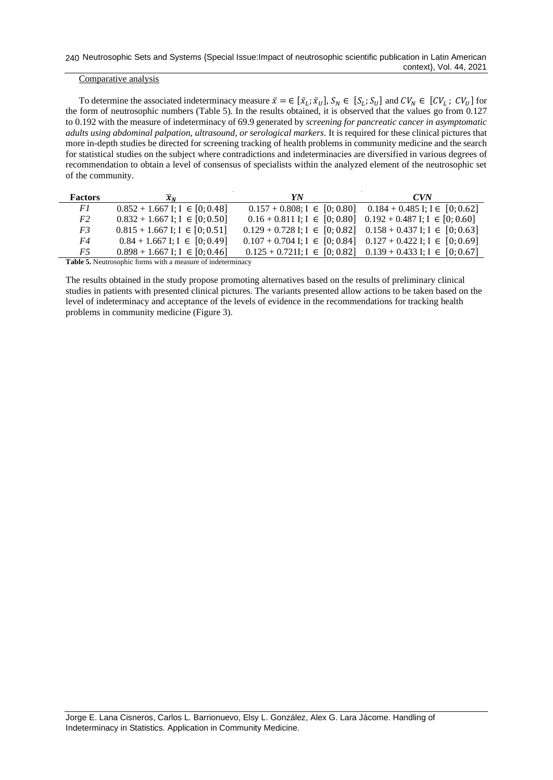## Comparative analysis

To determine the associated indeterminacy measure  $\bar{x} = \in [\bar{x}_L; \bar{x}_U], S_N \in [S_L; S_U]$  and  $CV_N \in [CV_L; CV_U]$  for the form of neutrosophic numbers (Table 5). In the results obtained, it is observed that the values go from 0.127 to 0.192 with the measure of indeterminacy of 69.9 generated by *screening for pancreatic cancer in asymptomatic adults using abdominal palpation, ultrasound, or serological markers*. It is required for these clinical pictures that more in-depth studies be directed for screening tracking of health problems in community medicine and the search for statistical studies on the subject where contradictions and indeterminacies are diversified in various degrees of recommendation to obtain a level of consensus of specialists within the analyzed element of the neutrosophic set of the community.

| <b>Factors</b> | $\mathcal{X}_N$                      | YN                                                                        | $C$ VN                                                                   |
|----------------|--------------------------------------|---------------------------------------------------------------------------|--------------------------------------------------------------------------|
| F1             | $0.852 + 1.667$ I; I $\in [0, 0.48]$ |                                                                           | $0.157 + 0.808$ ; I $\in [0, 0.80]$ $0.184 + 0.485$ I; I $\in [0, 0.62]$ |
| F2             | $0.832 + 1.667$ I; I $\in [0, 0.50]$ |                                                                           | $0.16 + 0.811$ I; I $\in [0, 0.80]$ $0.192 + 0.487$ I; I $\in [0, 0.60]$ |
| F3             | $0.815 + 1.667$ I; I $\in [0, 0.51]$ | $0.129 + 0.728$ I; I $\in [0, 0.82]$ $0.158 + 0.437$ I; I $\in [0, 0.63]$ |                                                                          |
| F4             | $0.84 + 1.667$ I; I $\in [0, 0.49]$  | $0.107 + 0.704$ I; I $\in [0, 0.84]$ $0.127 + 0.422$ I; I $\in [0, 0.69]$ |                                                                          |
| F5             | $0.898 + 1.667$ I; I $\in [0, 0.46]$ |                                                                           | $0.125 + 0.721$ ; $I \in [0, 0.82]$ $0.139 + 0.433$ I; $I \in [0, 0.67]$ |
| .              |                                      |                                                                           |                                                                          |

**Table 5.** Neutrosophic forms with a measure of indeterminacy

The results obtained in the study propose promoting alternatives based on the results of preliminary clinical studies in patients with presented clinical pictures. The variants presented allow actions to be taken based on the level of indeterminacy and acceptance of the levels of evidence in the recommendations for tracking health problems in community medicine (Figure 3).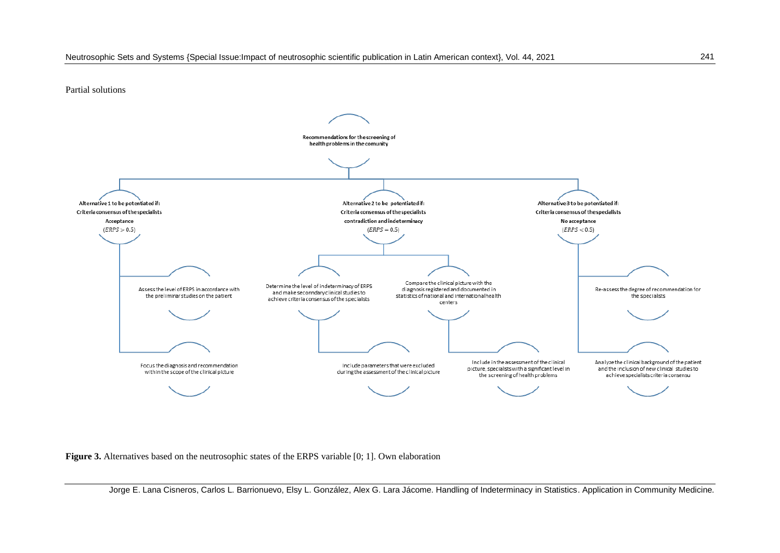Partial solutions



**Figure 3.** Alternatives based on the neutrosophic states of the ERPS variable [0; 1]. Own elaboration

Jorge E. Lana Cisneros, Carlos L. Barrionuevo, Elsy L. González, Alex G. Lara Jácome. Handling of Indeterminacy in Statistics. Application in Community Medicine.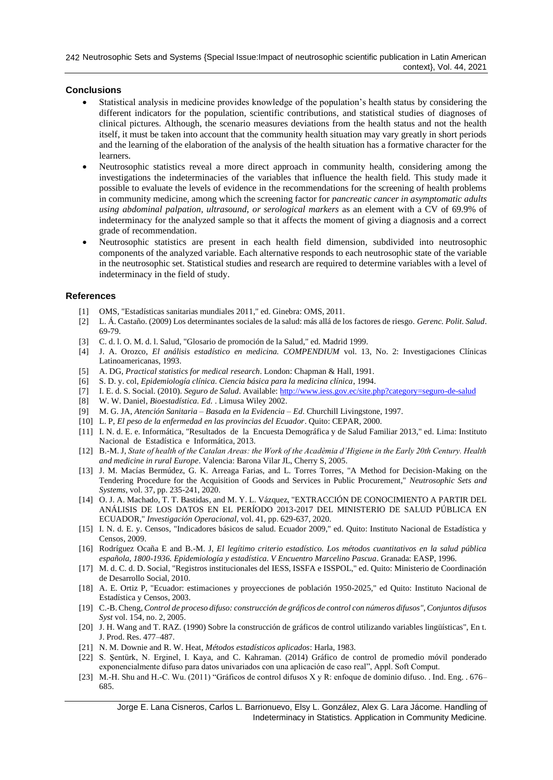# **Conclusions**

- Statistical analysis in medicine provides knowledge of the population's health status by considering the different indicators for the population, scientific contributions, and statistical studies of diagnoses of clinical pictures. Although, the scenario measures deviations from the health status and not the health itself, it must be taken into account that the community health situation may vary greatly in short periods and the learning of the elaboration of the analysis of the health situation has a formative character for the learners.
- Neutrosophic statistics reveal a more direct approach in community health, considering among the investigations the indeterminacies of the variables that influence the health field. This study made it possible to evaluate the levels of evidence in the recommendations for the screening of health problems in community medicine, among which the screening factor for *pancreatic cancer in asymptomatic adults using abdominal palpation, ultrasound, or serological markers* as an element with a CV of 69.9% of indeterminacy for the analyzed sample so that it affects the moment of giving a diagnosis and a correct grade of recommendation.
- Neutrosophic statistics are present in each health field dimension, subdivided into neutrosophic components of the analyzed variable. Each alternative responds to each neutrosophic state of the variable in the neutrosophic set. Statistical studies and research are required to determine variables with a level of indeterminacy in the field of study.

## **References**

- <span id="page-7-0"></span>[1] OMS, "Estadísticas sanitarias mundiales 2011," ed. Ginebra: OMS, 2011.
- <span id="page-7-1"></span>[2] L. Á. Castaño. (2009) Los determinantes sociales de la salud: más allá de los factores de riesgo. *Gerenc. Polit. Salud*. 69-79.
- <span id="page-7-2"></span>[3] C. d. l. O. M. d. l. Salud, "Glosario de promoción de la Salud," ed. Madrid 1999.
- <span id="page-7-3"></span>[4] J. A. Orozco, *El análisis estadístico en medicina. COMPENDIUM* vol. 13, No. 2: Investigaciones Clínicas Latinoamericanas, 1993.
- <span id="page-7-4"></span>[5] A. DG, *Practical statistics for medical research*. London: Chapman & Hall, 1991.
- <span id="page-7-5"></span>[6] S. D. y. col, *Epidemiología clínica. Ciencia básica para la medicina clínica*, 1994.
- <span id="page-7-6"></span>[7] I. E. d. S. Social. (2010). *Seguro de Salud*. Available[: http://www.iess.gov.ec/site.php?category=seguro-de-salud](http://www.iess.gov.ec/site.php?category=seguro-de-salud)
- <span id="page-7-7"></span>[8] W. W. Daniel, *Bioestadística. Ed.* . Limusa Wiley 2002.
- <span id="page-7-8"></span>[9] M. G. JA, *Atención Sanitaria – Basada en la Evidencia – Ed*. Churchill Livingstone, 1997.
- <span id="page-7-9"></span>[10] L. P, *El peso de la enfermedad en las provincias del Ecuador*. Quito: CEPAR, 2000.
- <span id="page-7-10"></span>[11] I. N. d. E. e. Informática, "Resultados de la Encuesta Demográfica y de Salud Familiar 2013," ed. Lima: Instituto Nacional de Estadística e Informática, 2013.
- [12] B.-M. J, *State of health of the Catalan Areas: the Work of the Acadèmia d'Higiene in the Early 20th Century. Health and medicine in rural Europe*. Valencia: Barona Vilar JL, Cherry S, 2005.
- [13] J. M. Macías Bermúdez, G. K. Arreaga Farias, and L. Torres Torres, "A Method for Decision-Making on the Tendering Procedure for the Acquisition of Goods and Services in Public Procurement," *Neutrosophic Sets and Systems,* vol. 37, pp. 235-241, 2020.
- [14] O. J. A. Machado, T. T. Bastidas, and M. Y. L. Vázquez, "EXTRACCIÓN DE CONOCIMIENTO A PARTIR DEL ANÁLISIS DE LOS DATOS EN EL PERÍODO 2013-2017 DEL MINISTERIO DE SALUD PÚBLICA EN ECUADOR," *Investigación Operacional,* vol. 41, pp. 629-637, 2020.
- <span id="page-7-11"></span>[15] I. N. d. E. y. Censos, "Indicadores básicos de salud. Ecuador 2009," ed. Quito: Instituto Nacional de Estadística y Censos, 2009.
- <span id="page-7-12"></span>[16] Rodríguez Ocaña E and B.-M. J, *El legítimo criterio estadístico. Los métodos cuantitativos en la salud pública española, 1800-1936. Epidemiología y estadística. V Encuentro Marcelino Pascua*. Granada: EASP, 1996.
- <span id="page-7-13"></span>[17] M. d. C. d. D. Social, "Registros institucionales del IESS, ISSFA e ISSPOL," ed. Quito: Ministerio de Coordinación de Desarrollo Social, 2010.
- <span id="page-7-14"></span>[18] A. E. Ortiz P, "Ecuador: estimaciones y proyecciones de población 1950-2025," ed Quito: Instituto Nacional de Estadística y Censos, 2003.
- <span id="page-7-15"></span>[19] C.-B. Cheng, *Control de proceso difuso: construcción de gráficos de control con números difusos", Conjuntos difusos Syst* vol. 154, no. 2, 2005.
- <span id="page-7-16"></span>[20] J. H. Wang and T. RAZ. (1990) Sobre la construcción de gráficos de control utilizando variables lingüísticas", En t. J. Prod. Res. 477–487.
- <span id="page-7-17"></span>[21] N. M. Downie and R. W. Heat, *Métodos estadísticos aplicados*: Harla, 1983.
- <span id="page-7-18"></span>[22] S. Şentürk, N. Erginel, I. Kaya, and C. Kahraman. (2014) Gráfico de control de promedio móvil ponderado exponencialmente difuso para datos univariados con una aplicación de caso real", Appl. Soft Comput.
- <span id="page-7-19"></span>[23] M.-H. Shu and H.-C. Wu. (2011) "Gráficos de control difusos X y R: enfoque de dominio difuso. . Ind. Eng. . 676– 685.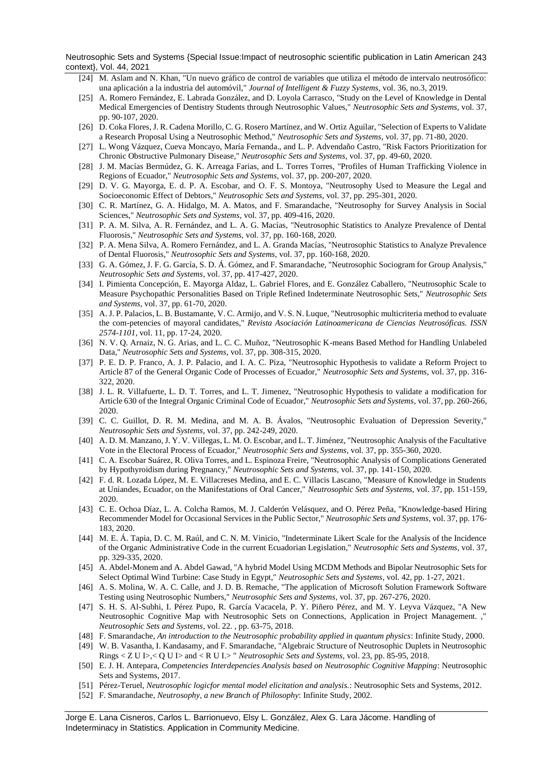Neutrosophic Sets and Systems {Special Issue:Impact of neutrosophic scientific publication in Latin American 243 context}, Vol. 44, 2021

- <span id="page-8-0"></span>[24] M. Aslam and N. Khan, "Un nuevo gráfico de control de variables que utiliza el método de intervalo neutrosófico: una aplicación a la industria del automóvil," *Journal of Intelligent & Fuzzy Systems,* vol. 36, no.3, 2019.
- <span id="page-8-1"></span>[25] A. Romero Fernández, E. Labrada González, and D. Loyola Carrasco, "Study on the Level of Knowledge in Dental Medical Emergencies of Dentistry Students through Neutrosophic Values," *Neutrosophic Sets and Systems,* vol. 37, pp. 90-107, 2020.
- [26] D. Coka Flores, J. R. Cadena Morillo, C. G. Rosero Martínez, and W. Ortiz Aguilar, "Selection of Experts to Validate a Research Proposal Using a Neutrosophic Method," *Neutrosophic Sets and Systems,* vol. 37, pp. 71-80, 2020.
- [27] L. Wong Vázquez, Cueva Moncayo, María Fernanda., and L. P. Advendaño Castro, "Risk Factors Prioritization for Chronic Obstructive Pulmonary Disease," *Neutrosophic Sets and Systems,* vol. 37, pp. 49-60, 2020.
- [28] J. M. Macías Bermúdez, G. K. Arreaga Farias, and L. Torres Torres, "Profiles of Human Trafficking Violence in Regions of Ecuador," *Neutrosophic Sets and Systems,* vol. 37, pp. 200-207, 2020.
- [29] D. V. G. Mayorga, E. d. P. A. Escobar, and O. F. S. Montoya, "Neutrosophy Used to Measure the Legal and Socioeconomic Effect of Debtors," *Neutrosophic Sets and Systems,* vol. 37, pp. 295-301, 2020.
- [30] C. R. Martínez, G. A. Hidalgo, M. A. Matos, and F. Smarandache, "Neutrosophy for Survey Analysis in Social Sciences," *Neutrosophic Sets and Systems,* vol. 37, pp. 409-416, 2020.
- [31] P. A. M. Silva, A. R. Fernández, and L. A. G. Macías, "Neutrosophic Statistics to Analyze Prevalence of Dental Fluorosis," *Neutrosophic Sets and Systems,* vol. 37, pp. 160-168, 2020.
- [32] P. A. Mena Silva, A. Romero Fernández, and L. A. Granda Macías, "Neutrosophic Statistics to Analyze Prevalence of Dental Fluorosis," *Neutrosophic Sets and Systems,* vol. 37, pp. 160-168, 2020.
- [33] G. A. Gómez, J. F. G. García, S. D. Á. Gómez, and F. Smarandache, "Neutrosophic Sociogram for Group Analysis," *Neutrosophic Sets and Systems,* vol. 37, pp. 417-427, 2020.
- [34] I. Pimienta Concepción, E. Mayorga Aldaz, L. Gabriel Flores, and E. González Caballero, "Neutrosophic Scale to Measure Psychopathic Personalities Based on Triple Refined Indeterminate Neutrosophic Sets," *Neutrosophic Sets and Systems,* vol. 37, pp. 61-70, 2020.
- [35] A. J. P. Palacios, L. B. Bustamante, V. C. Armijo, and V. S. N. Luque, "Neutrosophic multicriteria method to evaluate the com-petencies of mayoral candidates," *Revista Asociación Latinoamericana de Ciencias Neutrosóficas. ISSN 2574-1101,* vol. 11, pp. 17-24, 2020.
- [36] N. V. Q. Arnaiz, N. G. Arias, and L. C. C. Muñoz, "Neutrosophic K-means Based Method for Handling Unlabeled Data," *Neutrosophic Sets and Systems,* vol. 37, pp. 308-315, 2020.
- [37] P. E. D. P. Franco, A. J. P. Palacio, and I. A. C. Piza, "Neutrosophic Hypothesis to validate a Reform Project to Article 87 of the General Organic Code of Processes of Ecuador," *Neutrosophic Sets and Systems,* vol. 37, pp. 316- 322, 2020.
- [38] J. L. R. Villafuerte, L. D. T. Torres, and L. T. Jimenez, "Neutrosophic Hypothesis to validate a modification for Article 630 of the Integral Organic Criminal Code of Ecuador," *Neutrosophic Sets and Systems,* vol. 37, pp. 260-266, 2020.
- [39] C. C. Guillot, D. R. M. Medina, and M. A. B. Ávalos, "Neutrosophic Evaluation of Depression Severity," *Neutrosophic Sets and Systems,* vol. 37, pp. 242-249, 2020.
- [40] A. D. M. Manzano, J. Y. V. Villegas, L. M. O. Escobar, and L. T. Jiménez, "Neutrosophic Analysis of the Facultative Vote in the Electoral Process of Ecuador," *Neutrosophic Sets and Systems,* vol. 37, pp. 355-360, 2020.
- [41] C. A. Escobar Suárez, R. Oliva Torres, and L. Espinoza Freire, "Neutrosophic Analysis of Complications Generated by Hypothyroidism during Pregnancy," *Neutrosophic Sets and Systems,* vol. 37, pp. 141-150, 2020.
- [42] F. d. R. Lozada López, M. E. Villacreses Medina, and E. C. Villacis Lascano, "Measure of Knowledge in Students at Uniandes, Ecuador, on the Manifestations of Oral Cancer," *Neutrosophic Sets and Systems,* vol. 37, pp. 151-159, 2020.
- [43] C. E. Ochoa Díaz, L. A. Colcha Ramos, M. J. Calderón Velásquez, and O. Pérez Peña, "Knowledge-based Hiring Recommender Model for Occasional Services in the Public Sector," *Neutrosophic Sets and Systems,* vol. 37, pp. 176- 183, 2020.
- [44] M. E. Á. Tapia, D. C. M. Raúl, and C. N. M. Vinicio, "Indeterminate Likert Scale for the Analysis of the Incidence of the Organic Administrative Code in the current Ecuadorian Legislation," *Neutrosophic Sets and Systems,* vol. 37, pp. 329-335, 2020.
- [45] A. Abdel-Monem and A. Abdel Gawad, "A hybrid Model Using MCDM Methods and Bipolar Neutrosophic Sets for Select Optimal Wind Turbine: Case Study in Egypt," *Neutrosophic Sets and Systems,* vol. 42, pp. 1-27, 2021.
- [46] A. S. Molina, W. A. C. Calle, and J. D. B. Remache, "The application of Microsoft Solution Framework Software Testing using Neutrosophic Numbers," *Neutrosophic Sets and Systems,* vol. 37, pp. 267-276, 2020.
- <span id="page-8-2"></span>[47] S. H. S. Al-Subhi, I. Pérez Pupo, R. García Vacacela, P. Y. Piñero Pérez, and M. Y. Leyva Vázquez, "A New Neutrosophic Cognitive Map with Neutrosophic Sets on Connections, Application in Project Management. ," *Neutrosophic Sets and Systems,* vol. 22. , pp. 63-75, 2018.
- <span id="page-8-3"></span>[48] F. Smarandache, *An introduction to the Neutrosophic probability applied in quantum physics*: Infinite Study, 2000.
- <span id="page-8-4"></span>[49] W. B. Vasantha, I. Kandasamy, and F. Smarandache, "Algebraic Structure of Neutrosophic Duplets in Neutrosophic Rings < Z U I>,< Q U I> and < R U I.> " *Neutrosophic Sets and Systems,* vol. 23, pp. 85-95, 2018.
- <span id="page-8-5"></span>[50] E. J. H. Antepara, *Competencies Interdepencies Analysis based on Neutrosophic Cognitive Mapping*: Neutrosophic Sets and Systems, 2017.
- <span id="page-8-6"></span>[51] Pérez-Teruel, *Neutrosophic logicfor mental model elicitation and analysis.*: Neutrosophic Sets and Systems, 2012.
- <span id="page-8-7"></span>[52] F. Smarandache, *Neutrosophy, a new Branch of Philosophy*: Infinite Study, 2002.

Jorge E. Lana Cisneros, Carlos L. Barrionuevo, Elsy L. González, Alex G. Lara Jácome. Handling of Indeterminacy in Statistics. Application in Community Medicine.